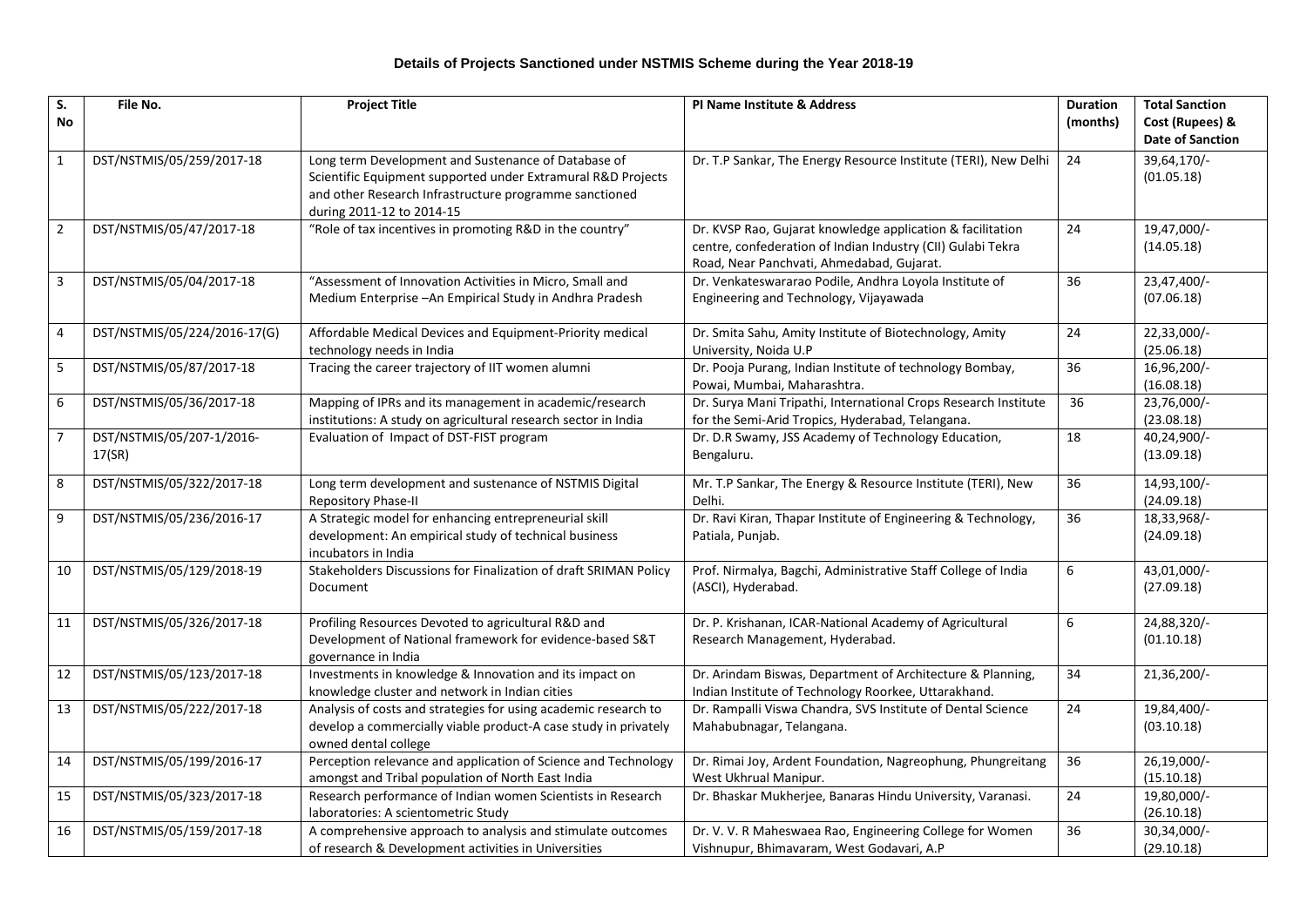## **Details of Projects Sanctioned under NSTMIS Scheme during the Year 2018-19**

| S.<br><b>No</b>         | File No.                            | <b>Project Title</b>                                                                                                                                                                                       | PI Name Institute & Address                                                                                                                                            | <b>Duration</b><br>(months) | <b>Total Sanction</b><br>Cost (Rupees) &<br><b>Date of Sanction</b> |
|-------------------------|-------------------------------------|------------------------------------------------------------------------------------------------------------------------------------------------------------------------------------------------------------|------------------------------------------------------------------------------------------------------------------------------------------------------------------------|-----------------------------|---------------------------------------------------------------------|
| $\mathbf 1$             | DST/NSTMIS/05/259/2017-18           | Long term Development and Sustenance of Database of<br>Scientific Equipment supported under Extramural R&D Projects<br>and other Research Infrastructure programme sanctioned<br>during 2011-12 to 2014-15 | Dr. T.P Sankar, The Energy Resource Institute (TERI), New Delhi                                                                                                        | 24                          | 39,64,170/-<br>(01.05.18)                                           |
| $\overline{2}$          | DST/NSTMIS/05/47/2017-18            | "Role of tax incentives in promoting R&D in the country"                                                                                                                                                   | Dr. KVSP Rao, Gujarat knowledge application & facilitation<br>centre, confederation of Indian Industry (CII) Gulabi Tekra<br>Road, Near Panchvati, Ahmedabad, Gujarat. | 24                          | 19,47,000/-<br>(14.05.18)                                           |
| 3                       | DST/NSTMIS/05/04/2017-18            | "Assessment of Innovation Activities in Micro, Small and<br>Medium Enterprise - An Empirical Study in Andhra Pradesh                                                                                       | Dr. Venkateswararao Podile, Andhra Loyola Institute of<br>Engineering and Technology, Vijayawada                                                                       | 36                          | 23,47,400/-<br>(07.06.18)                                           |
| $\overline{\mathbf{4}}$ | DST/NSTMIS/05/224/2016-17(G)        | Affordable Medical Devices and Equipment-Priority medical<br>technology needs in India                                                                                                                     | Dr. Smita Sahu, Amity Institute of Biotechnology, Amity<br>University, Noida U.P                                                                                       | 24                          | 22,33,000/-<br>(25.06.18)                                           |
| 5                       | DST/NSTMIS/05/87/2017-18            | Tracing the career trajectory of IIT women alumni                                                                                                                                                          | Dr. Pooja Purang, Indian Institute of technology Bombay,<br>Powai, Mumbai, Maharashtra.                                                                                | 36                          | 16,96,200/-<br>(16.08.18)                                           |
| 6                       | DST/NSTMIS/05/36/2017-18            | Mapping of IPRs and its management in academic/research<br>institutions: A study on agricultural research sector in India                                                                                  | Dr. Surya Mani Tripathi, International Crops Research Institute<br>for the Semi-Arid Tropics, Hyderabad, Telangana.                                                    | 36                          | 23,76,000/-<br>(23.08.18)                                           |
| $\overline{7}$          | DST/NSTMIS/05/207-1/2016-<br>17(SR) | Evaluation of Impact of DST-FIST program                                                                                                                                                                   | Dr. D.R Swamy, JSS Academy of Technology Education,<br>Bengaluru.                                                                                                      | 18                          | 40,24,900/-<br>(13.09.18)                                           |
| 8                       | DST/NSTMIS/05/322/2017-18           | Long term development and sustenance of NSTMIS Digital<br>Repository Phase-II                                                                                                                              | Mr. T.P Sankar, The Energy & Resource Institute (TERI), New<br>Delhi.                                                                                                  | 36                          | 14,93,100/-<br>(24.09.18)                                           |
| 9                       | DST/NSTMIS/05/236/2016-17           | A Strategic model for enhancing entrepreneurial skill<br>development: An empirical study of technical business<br>incubators in India                                                                      | Dr. Ravi Kiran, Thapar Institute of Engineering & Technology,<br>Patiala, Punjab.                                                                                      | 36                          | 18,33,968/-<br>(24.09.18)                                           |
| 10                      | DST/NSTMIS/05/129/2018-19           | Stakeholders Discussions for Finalization of draft SRIMAN Policy<br>Document                                                                                                                               | Prof. Nirmalya, Bagchi, Administrative Staff College of India<br>(ASCI), Hyderabad.                                                                                    | 6                           | 43,01,000/-<br>(27.09.18)                                           |
| 11                      | DST/NSTMIS/05/326/2017-18           | Profiling Resources Devoted to agricultural R&D and<br>Development of National framework for evidence-based S&T<br>governance in India                                                                     | Dr. P. Krishanan, ICAR-National Academy of Agricultural<br>Research Management, Hyderabad.                                                                             | 6                           | 24,88,320/-<br>(01.10.18)                                           |
| 12                      | DST/NSTMIS/05/123/2017-18           | Investments in knowledge & Innovation and its impact on<br>knowledge cluster and network in Indian cities                                                                                                  | Dr. Arindam Biswas, Department of Architecture & Planning,<br>Indian Institute of Technology Roorkee, Uttarakhand.                                                     | 34                          | 21,36,200/-                                                         |
| 13                      | DST/NSTMIS/05/222/2017-18           | Analysis of costs and strategies for using academic research to<br>develop a commercially viable product-A case study in privately<br>owned dental college                                                 | Dr. Rampalli Viswa Chandra, SVS Institute of Dental Science<br>Mahabubnagar, Telangana.                                                                                | 24                          | 19,84,400/-<br>(03.10.18)                                           |
| 14                      | DST/NSTMIS/05/199/2016-17           | Perception relevance and application of Science and Technology<br>amongst and Tribal population of North East India                                                                                        | Dr. Rimai Joy, Ardent Foundation, Nagreophung, Phungreitang<br>West Ukhrual Manipur.                                                                                   | 36                          | 26,19,000/-<br>(15.10.18)                                           |
| 15                      | DST/NSTMIS/05/323/2017-18           | Research performance of Indian women Scientists in Research<br>laboratories: A scientometric Study                                                                                                         | Dr. Bhaskar Mukherjee, Banaras Hindu University, Varanasi.                                                                                                             | 24                          | 19,80,000/-<br>(26.10.18)                                           |
| 16                      | DST/NSTMIS/05/159/2017-18           | A comprehensive approach to analysis and stimulate outcomes<br>of research & Development activities in Universities                                                                                        | Dr. V. V. R Maheswaea Rao, Engineering College for Women<br>Vishnupur, Bhimavaram, West Godavari, A.P                                                                  | 36                          | 30,34,000/-<br>(29.10.18)                                           |